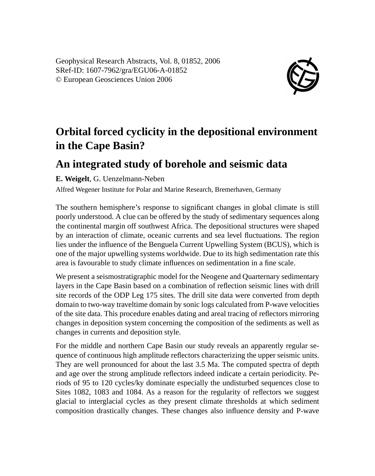

## **Orbital forced cyclicity in the depositional environment in the Cape Basin?**

## **An integrated study of borehole and seismic data**

## **E. Weigelt**, G. Uenzelmann-Neben

Alfred Wegener Institute for Polar and Marine Research, Bremerhaven, Germany

The southern hemisphere's response to significant changes in global climate is still poorly understood. A clue can be offered by the study of sedimentary sequences along the continental margin off southwest Africa. The depositional structures were shaped by an interaction of climate, oceanic currents and sea level fluctuations. The region lies under the influence of the Benguela Current Upwelling System (BCUS), which is one of the major upwelling systems worldwide. Due to its high sedimentation rate this area is favourable to study climate influences on sedimentation in a fine scale.

We present a seismostratigraphic model for the Neogene and Quarternary sedimentary layers in the Cape Basin based on a combination of reflection seismic lines with drill site records of the ODP Leg 175 sites. The drill site data were converted from depth domain to two-way traveltime domain by sonic logs calculated from P-wave velocities of the site data. This procedure enables dating and areal tracing of reflectors mirroring changes in deposition system concerning the composition of the sediments as well as changes in currents and deposition style.

For the middle and northern Cape Basin our study reveals an apparently regular sequence of continuous high amplitude reflectors characterizing the upper seismic units. They are well pronounced for about the last 3.5 Ma. The computed spectra of depth and age over the strong amplitude reflectors indeed indicate a certain periodicity. Periods of 95 to 120 cycles/ky dominate especially the undisturbed sequences close to Sites 1082, 1083 and 1084. As a reason for the regularity of reflectors we suggest glacial to interglacial cycles as they present climate thresholds at which sediment composition drastically changes. These changes also influence density and P-wave